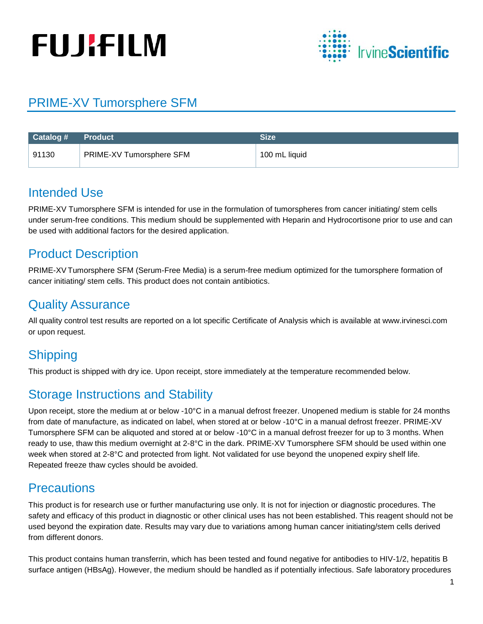# **FUJIFILM**



## PRIME-XV Tumorsphere SFM

| Catalog # | <b>Product</b>           | <b>Size</b>   |
|-----------|--------------------------|---------------|
| 91130     | PRIME-XV Tumorsphere SFM | 100 mL liquid |

## Intended Use

PRIME-XV Tumorsphere SFM is intended for use in the formulation of tumorspheres from cancer initiating/ stem cells under serum-free conditions. This medium should be supplemented with Heparin and Hydrocortisone prior to use and can be used with additional factors for the desired application.

## Product Description

PRIME-XV Tumorsphere SFM (Serum-Free Media) is a serum-free medium optimized for the tumorsphere formation of cancer initiating/ stem cells. This product does not contain antibiotics.

## Quality Assurance

All quality control test results are reported on a lot specific Certificate of Analysis which is available at www.irvinesci.com or upon request.

## **Shipping**

This product is shipped with dry ice. Upon receipt, store immediately at the temperature recommended below.

## Storage Instructions and Stability

Upon receipt, store the medium at or below -10°C in a manual defrost freezer. Unopened medium is stable for 24 months from date of manufacture, as indicated on label, when stored at or below -10°C in a manual defrost freezer. PRIME-XV Tumorsphere SFM can be aliquoted and stored at or below -10°C in a manual defrost freezer for up to 3 months. When ready to use, thaw this medium overnight at 2-8°C in the dark. PRIME-XV Tumorsphere SFM should be used within one week when stored at 2-8°C and protected from light. Not validated for use beyond the unopened expiry shelf life. Repeated freeze thaw cycles should be avoided.

## **Precautions**

This product is for research use or further manufacturing use only. It is not for injection or diagnostic procedures. The safety and efficacy of this product in diagnostic or other clinical uses has not been established. This reagent should not be used beyond the expiration date. Results may vary due to variations among human cancer initiating/stem cells derived from different donors.

This product contains human transferrin, which has been tested and found negative for antibodies to HIV-1/2, hepatitis B surface antigen (HBsAg). However, the medium should be handled as if potentially infectious. Safe laboratory procedures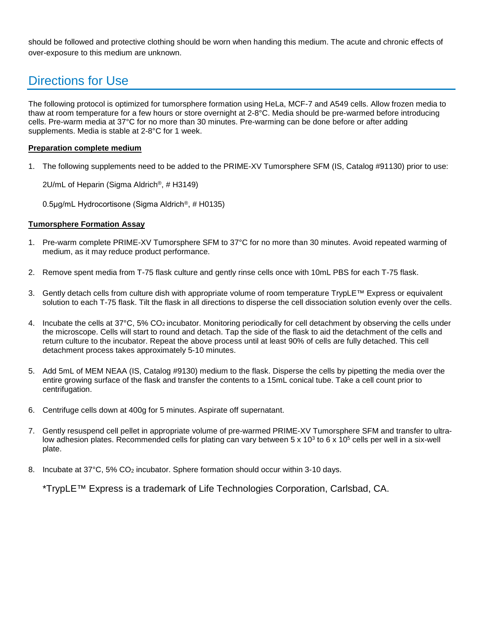should be followed and protective clothing should be worn when handing this medium. The acute and chronic effects of over-exposure to this medium are unknown.

## Directions for Use

The following protocol is optimized for tumorsphere formation using HeLa, MCF-7 and A549 cells. Allow frozen media to thaw at room temperature for a few hours or store overnight at 2-8°C. Media should be pre-warmed before introducing cells. Pre-warm media at 37°C for no more than 30 minutes. Pre-warming can be done before or after adding supplements. Media is stable at 2-8°C for 1 week.

#### **Preparation complete medium**

1. The following supplements need to be added to the PRIME-XV Tumorsphere SFM (IS, Catalog #91130) prior to use:

2U/mL of Heparin (Sigma Aldrich®, # H3149)

0.5μg/mL Hydrocortisone (Sigma Aldrich®, # H0135)

#### **Tumorsphere Formation Assay**

- 1. Pre-warm complete PRIME-XV Tumorsphere SFM to 37°C for no more than 30 minutes. Avoid repeated warming of medium, as it may reduce product performance.
- 2. Remove spent media from T-75 flask culture and gently rinse cells once with 10mL PBS for each T-75 flask.
- 3. Gently detach cells from culture dish with appropriate volume of room temperature TrypLE™ Express or equivalent solution to each T-75 flask. Tilt the flask in all directions to disperse the cell dissociation solution evenly over the cells.
- 4. Incubate the cells at 37°C, 5% CO2 incubator. Monitoring periodically for cell detachment by observing the cells under the microscope. Cells will start to round and detach. Tap the side of the flask to aid the detachment of the cells and return culture to the incubator. Repeat the above process until at least 90% of cells are fully detached. This cell detachment process takes approximately 5-10 minutes.
- 5. Add 5mL of MEM NEAA (IS, Catalog #9130) medium to the flask. Disperse the cells by pipetting the media over the entire growing surface of the flask and transfer the contents to a 15mL conical tube. Take a cell count prior to centrifugation.
- 6. Centrifuge cells down at 400g for 5 minutes. Aspirate off supernatant.
- 7. Gently resuspend cell pellet in appropriate volume of pre-warmed PRIME-XV Tumorsphere SFM and transfer to ultralow adhesion plates. Recommended cells for plating can vary between  $5 \times 10^3$  to  $6 \times 10^5$  cells per well in a six-well plate.
- 8. Incubate at 37°C, 5% CO<sub>2</sub> incubator. Sphere formation should occur within 3-10 days.

\*TrypLE™ Express is a trademark of Life Technologies Corporation, Carlsbad, CA.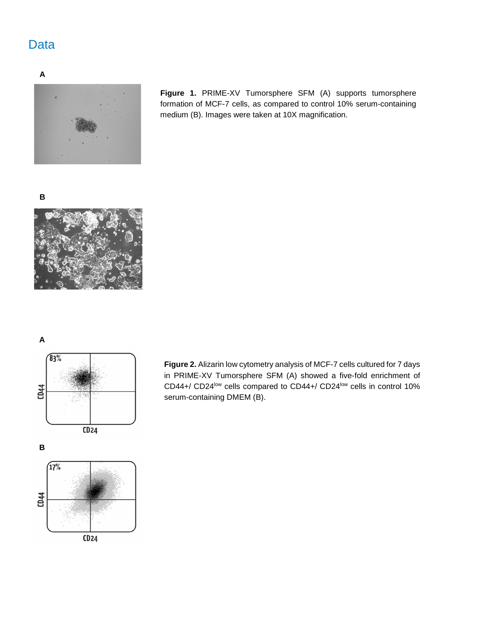## Data

**A**



**Figure 1.** PRIME-XV Tumorsphere SFM (A) supports tumorsphere formation of MCF-7 cells, as compared to control 10% serum-containing medium (B). Images were taken at 10X magnification.

**B**



**A**



 $\sqrt{17%}$ CD44  $CD24$  **Figure 2.** Alizarin low cytometry analysis of MCF-7 cells cultured for 7 days in PRIME-XV Tumorsphere SFM (A) showed a five-fold enrichment of CD44+/ CD24<sup>low</sup> cells compared to CD44+/ CD24<sup>low</sup> cells in control 10% serum-containing DMEM (B).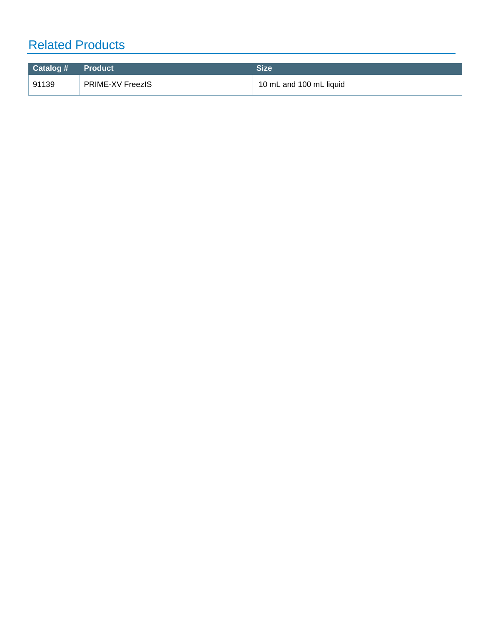# Related Products

| Catalog # Product |                         | <b>Size</b>             |
|-------------------|-------------------------|-------------------------|
| 91139             | <b>PRIME-XV FreezIS</b> | 10 mL and 100 mL liquid |